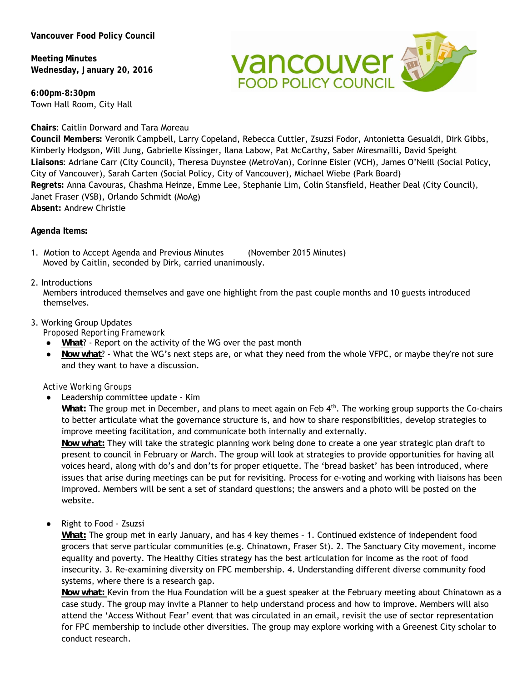**Meeting Minutes Wednesday, January 20, 2016** 

**6:00pm-8:30pm**  Town Hall Room, City Hall

# **Chairs**: Caitlin Dorward and Tara Moreau

**Vancouver av** 

**Council Members:** Veronik Campbell, Larry Copeland, Rebecca Cuttler, Zsuzsi Fodor, Antonietta Gesualdi, Dirk Gibbs, Kimberly Hodgson, Will Jung, Gabrielle Kissinger, Ilana Labow, Pat McCarthy, Saber Miresmailli, David Speight **Liaisons**: Adriane Carr (City Council), Theresa Duynstee (MetroVan), Corinne Eisler (VCH), James O'Neill (Social Policy, City of Vancouver), Sarah Carten (Social Policy, City of Vancouver), Michael Wiebe (Park Board) **Regrets:** Anna Cavouras, Chashma Heinze, Emme Lee, Stephanie Lim, Colin Stansfield, Heather Deal (City Council), Janet Fraser (VSB), Orlando Schmidt (MoAg) **Absent:** Andrew Christie

**Agenda Items:** 

1. Motion to Accept Agenda and Previous Minutes (November 2015 Minutes) Moved by Caitlin, seconded by Dirk, carried unanimously.

# 2. Introductions

Members introduced themselves and gave one highlight from the past couple months and 10 guests introduced themselves.

# 3. Working Group Updates

*Proposed Reporting Framework*

- *What*? Report on the activity of the WG over the past month
- *Now what*? What the WG's next steps are, or what they need from the whole VFPC, or maybe they're not sure and they want to have a discussion.

# *Active Working Groups*

Leadership committee update - Kim

*What:* The group met in December, and plans to meet again on Feb 4<sup>th</sup>. The working group supports the Co-chairs to better articulate what the governance structure is, and how to share responsibilities, develop strategies to improve meeting facilitation, and communicate both internally and externally.

*Now what:* They will take the strategic planning work being done to create a one year strategic plan draft to present to council in February or March. The group will look at strategies to provide opportunities for having all voices heard, along with do's and don'ts for proper etiquette. The 'bread basket' has been introduced, where issues that arise during meetings can be put for revisiting. Process for e-voting and working with liaisons has been improved. Members will be sent a set of standard questions; the answers and a photo will be posted on the website.

Right to Food - Zsuzsi

*What:* The group met in early January, and has 4 key themes – 1. Continued existence of independent food grocers that serve particular communities (e.g. Chinatown, Fraser St). 2. The Sanctuary City movement, income equality and poverty. The Healthy Cities strategy has the best articulation for income as the root of food insecurity. 3. Re-examining diversity on FPC membership. 4. Understanding different diverse community food systems, where there is a research gap.

*Now what:* Kevin from the Hua Foundation will be a guest speaker at the February meeting about Chinatown as a case study. The group may invite a Planner to help understand process and how to improve. Members will also attend the 'Access Without Fear' event that was circulated in an email, revisit the use of sector representation for FPC membership to include other diversities. The group may explore working with a Greenest City scholar to conduct research.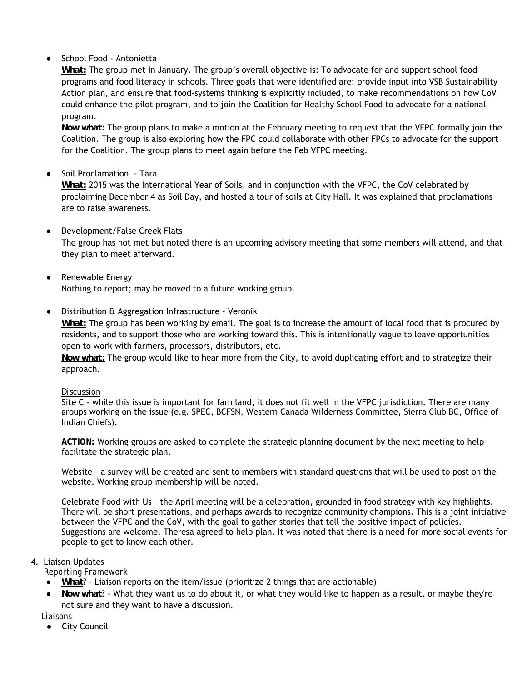# School Food - Antonietta

*What:* The group met in January. The group's overall objective is: To advocate for and support school food programs and food literacy in schools. Three goals that were identified are: provide input into VSB Sustainability Action plan, and ensure that food-systems thinking is explicitly included, to make recommendations on how CoV could enhance the pilot program, and to join the Coalition for Healthy School Food to advocate for a national program.

*Now what:* The group plans to make a motion at the February meeting to request that the VFPC formally join the Coalition. The group is also exploring how the FPC could collaborate with other FPCs to advocate for the support for the Coalition. The group plans to meet again before the Feb VFPC meeting.

# Soil Proclamation - Tara

*What:* 2015 was the International Year of Soils, and in conjunction with the VFPC, the CoV celebrated by proclaiming December 4 as Soil Day, and hosted a tour of soils at City Hall. It was explained that proclamations are to raise awareness.

- Development/False Creek Flats The group has not met but noted there is an upcoming advisory meeting that some members will attend, and that they plan to meet afterward.
- Renewable Energy Nothing to report; may be moved to a future working group.
- Distribution & Aggregation Infrastructure Veronik

*What:* The group has been working by email. The goal is to increase the amount of local food that is procured by residents, and to support those who are working toward this. This is intentionally vague to leave opportunities open to work with farmers, processors, distributors, etc.

*Now what:* The group would like to hear more from the City, to avoid duplicating effort and to strategize their approach.

#### *Discussion*

Site C – while this issue is important for farmland, it does not fit well in the VFPC jurisdiction. There are many groups working on the issue (e.g. SPEC, BCFSN, Western Canada Wilderness Committee, Sierra Club BC, Office of Indian Chiefs).

**ACTION:** Working groups are asked to complete the strategic planning document by the next meeting to help facilitate the strategic plan.

Website – a survey will be created and sent to members with standard questions that will be used to post on the website. Working group membership will be noted.

Celebrate Food with Us – the April meeting will be a celebration, grounded in food strategy with key highlights. There will be short presentations, and perhaps awards to recognize community champions. This is a joint initiative between the VFPC and the CoV, with the goal to gather stories that tell the positive impact of policies. Suggestions are welcome. Theresa agreed to help plan. It was noted that there is a need for more social events for people to get to know each other.

### 4. Liaison Updates

#### *Reporting Framework*

- *What*? Liaison reports on the item/issue (prioritize 2 things that are actionable)
- *Now what*? What they want us to do about it, or what they would like to happen as a result, or maybe they're not sure and they want to have a discussion.

### *Liaisons*

● City Council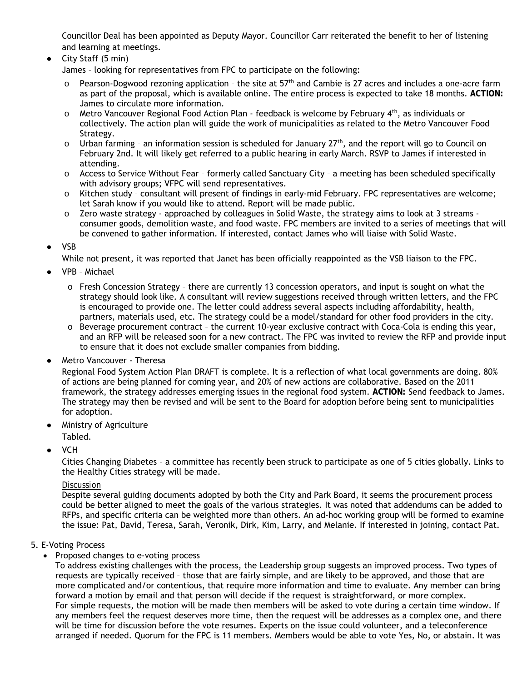Councillor Deal has been appointed as Deputy Mayor. Councillor Carr reiterated the benefit to her of listening and learning at meetings.

City Staff (5 min)

James – looking for representatives from FPC to participate on the following:

- Pearson-Dogwood rezoning application the site at 57<sup>th</sup> and Cambie is 27 acres and includes a one-acre farm as part of the proposal, which is available online. The entire process is expected to take 18 months. **ACTION:**  James to circulate more information.
- $\circ$  Metro Vancouver Regional Food Action Plan feedback is welcome by February 4<sup>th</sup>, as individuals or collectively. The action plan will guide the work of municipalities as related to the Metro Vancouver Food Strategy.
- $\circ$  Urban farming an information session is scheduled for January 27<sup>th</sup>, and the report will go to Council on February 2nd. It will likely get referred to a public hearing in early March. RSVP to James if interested in attending.
- o Access to Service Without Fear formerly called Sanctuary City a meeting has been scheduled specifically with advisory groups; VFPC will send representatives.
- o Kitchen study consultant will present of findings in early-mid February. FPC representatives are welcome; let Sarah know if you would like to attend. Report will be made public.
- $\circ$  Zero waste strategy approached by colleagues in Solid Waste, the strategy aims to look at 3 streams consumer goods, demolition waste, and food waste. FPC members are invited to a series of meetings that will be convened to gather information. If interested, contact James who will liaise with Solid Waste.
- **VSB**

While not present, it was reported that Janet has been officially reappointed as the VSB liaison to the FPC.

- VPB Michael
	- $\circ$  Fresh Concession Strategy there are currently 13 concession operators, and input is sought on what the strategy should look like. A consultant will review suggestions received through written letters, and the FPC is encouraged to provide one. The letter could address several aspects including affordability, health, partners, materials used, etc. The strategy could be a model/standard for other food providers in the city.
	- o Beverage procurement contract the current 10-year exclusive contract with Coca-Cola is ending this year, and an RFP will be released soon for a new contract. The FPC was invited to review the RFP and provide input to ensure that it does not exclude smaller companies from bidding.
- Metro Vancouver Theresa

Regional Food System Action Plan DRAFT is complete. It is a reflection of what local governments are doing. 80% of actions are being planned for coming year, and 20% of new actions are collaborative. Based on the 2011 framework, the strategy addresses emerging issues in the regional food system. **ACTION:** Send feedback to James. The strategy may then be revised and will be sent to the Board for adoption before being sent to municipalities for adoption.

- **Ministry of Agriculture**
- Tabled.
- **VCH**

Cities Changing Diabetes – a committee has recently been struck to participate as one of 5 cities globally. Links to the Healthy Cities strategy will be made.

### *Discussion*

Despite several guiding documents adopted by both the City and Park Board, it seems the procurement process could be better aligned to meet the goals of the various strategies. It was noted that addendums can be added to RFPs, and specific criteria can be weighted more than others. An ad-hoc working group will be formed to examine the issue: Pat, David, Teresa, Sarah, Veronik, Dirk, Kim, Larry, and Melanie. If interested in joining, contact Pat.

### 5. E-Voting Process

• Proposed changes to e-voting process

To address existing challenges with the process, the Leadership group suggests an improved process. Two types of requests are typically received – those that are fairly simple, and are likely to be approved, and those that are more complicated and/or contentious, that require more information and time to evaluate. Any member can bring forward a motion by email and that person will decide if the request is straightforward, or more complex. For simple requests, the motion will be made then members will be asked to vote during a certain time window. If any members feel the request deserves more time, then the request will be addresses as a complex one, and there will be time for discussion before the vote resumes. Experts on the issue could volunteer, and a teleconference arranged if needed. Quorum for the FPC is 11 members. Members would be able to vote Yes, No, or abstain. It was